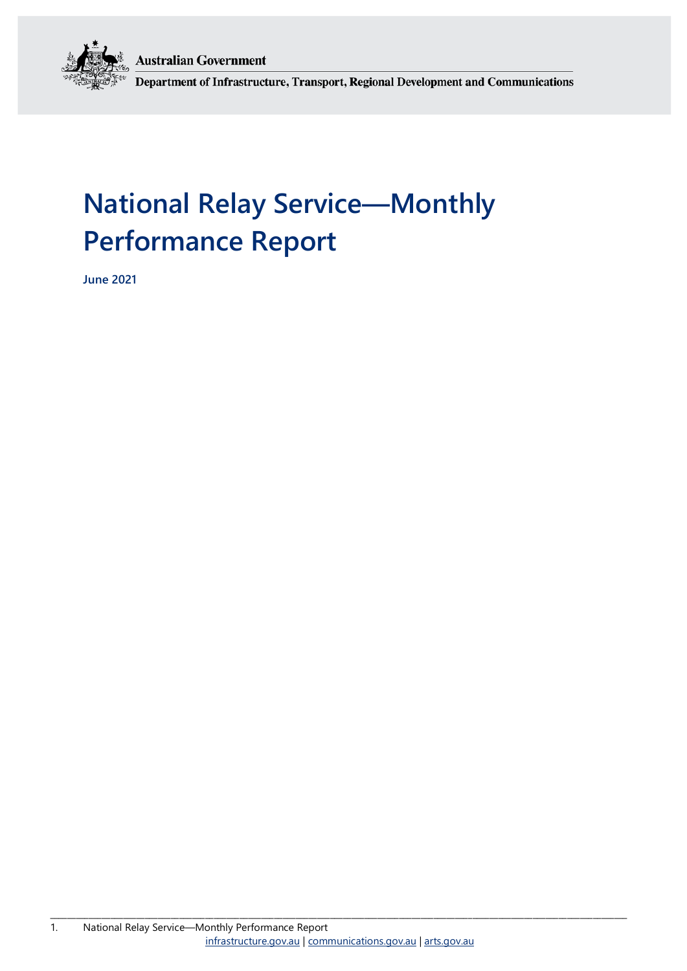**Australian Government** 



Department of Infrastructure, Transport, Regional Development and Communications

# **National Relay Service—Monthly Performance Report**

**June 2021**

\_\_\_\_\_\_\_\_\_\_\_\_\_\_\_\_\_\_\_\_\_\_\_\_\_\_\_\_\_\_\_\_\_\_\_\_\_\_\_\_\_\_\_\_\_\_\_\_\_\_\_\_\_\_\_\_\_\_\_\_\_\_\_\_\_\_\_\_\_\_\_\_\_\_\_\_\_\_\_\_\_\_\_\_\_\_\_\_\_\_\_\_\_\_\_\_\_\_\_\_\_\_\_\_\_\_\_\_\_\_\_\_\_\_\_\_\_\_\_\_\_\_\_\_\_\_\_\_\_\_\_\_\_\_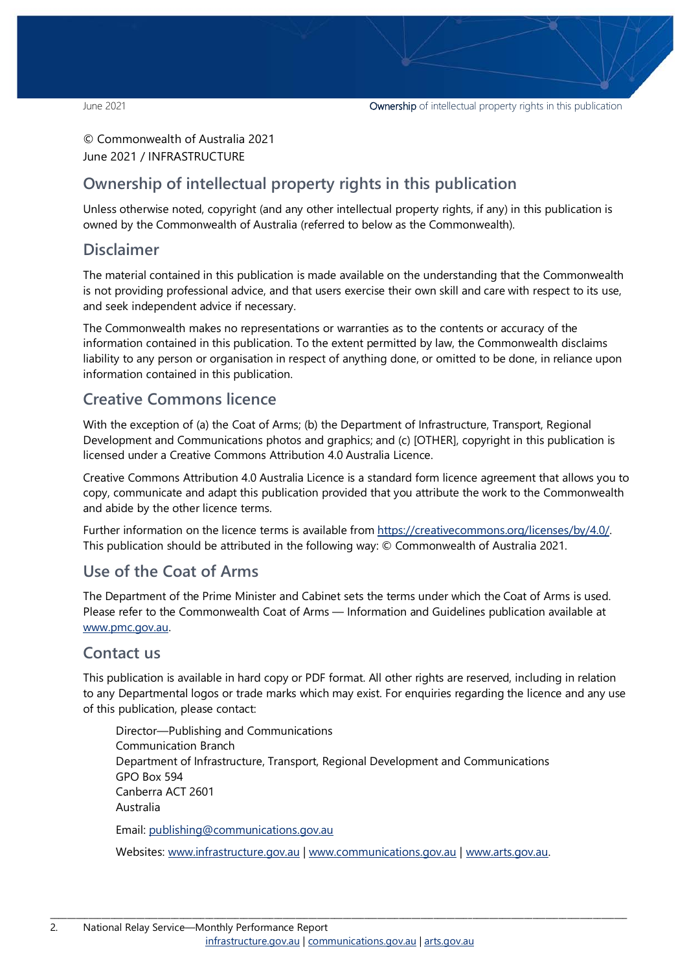© Commonwealth of Australia 2021 June 2021 / INFRASTRUCTURE

## **Ownership of intellectual property rights in this publication**

Unless otherwise noted, copyright (and any other intellectual property rights, if any) in this publication is owned by the Commonwealth of Australia (referred to below as the Commonwealth).

### **Disclaimer**

The material contained in this publication is made available on the understanding that the Commonwealth is not providing professional advice, and that users exercise their own skill and care with respect to its use, and seek independent advice if necessary.

The Commonwealth makes no representations or warranties as to the contents or accuracy of the information contained in this publication. To the extent permitted by law, the Commonwealth disclaims liability to any person or organisation in respect of anything done, or omitted to be done, in reliance upon information contained in this publication.

## **Creative Commons licence**

With the exception of (a) the Coat of Arms; (b) the Department of Infrastructure, Transport, Regional Development and Communications photos and graphics; and (c) [OTHER], copyright in this publication is licensed under a Creative Commons Attribution 4.0 Australia Licence.

Creative Commons Attribution 4.0 Australia Licence is a standard form licence agreement that allows you to copy, communicate and adapt this publication provided that you attribute the work to the Commonwealth and abide by the other licence terms.

Further information on the licence terms is available from [https://creativecommons.org/licenses/by/4.0/.](https://creativecommons.org/licenses/by/4.0/) This publication should be attributed in the following way: © Commonwealth of Australia 2021.

### **Use of the Coat of Arms**

The Department of the Prime Minister and Cabinet sets the terms under which the Coat of Arms is used. Please refer to the Commonwealth Coat of Arms — Information and Guidelines publication available at [www.pmc.gov.au.](http://www.pmc.gov.au/) 

### **Contact us**

This publication is available in hard copy or PDF format. All other rights are reserved, including in relation to any Departmental logos or trade marks which may exist. For enquiries regarding the licence and any use of this publication, please contact:

Director—Publishing and Communications Communication Branch Department of Infrastructure, Transport, Regional Development and Communications GPO Box 594 Canberra ACT 2601 Australia Email: [publishing@communications.gov.au](mailto:publishing@communications.gov.au)

Websites: [www.infrastructure.gov.au](http://www.infrastructure.gov.au/) [| www.communications.gov.au](http://www.communications.gov.au/) | [www.arts.gov.au.](http://www.arts.gov.au/)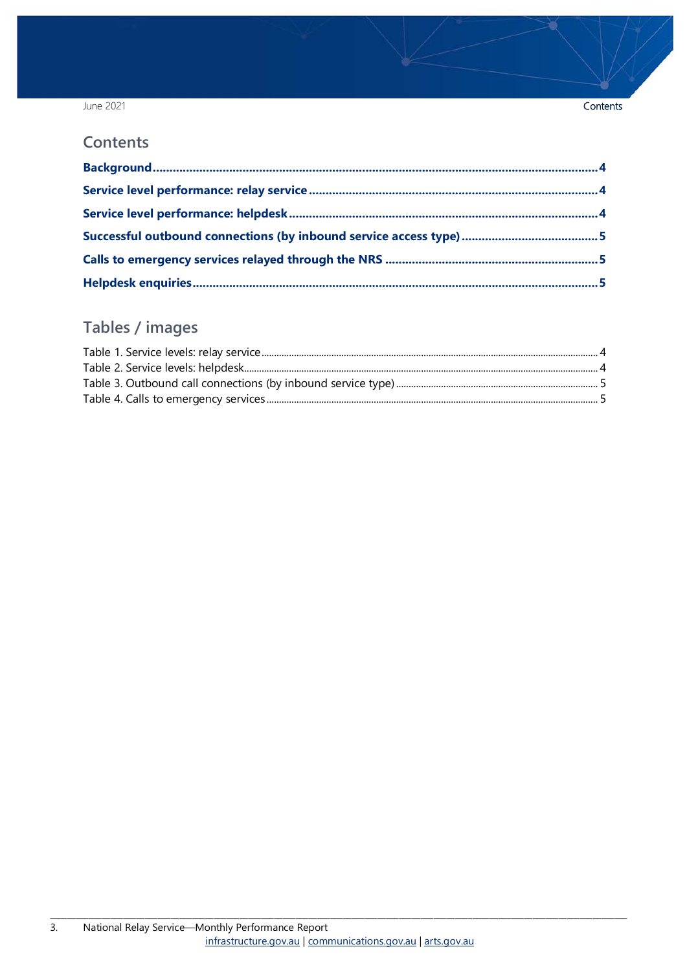### June 2021

### **Contents**

## Tables / images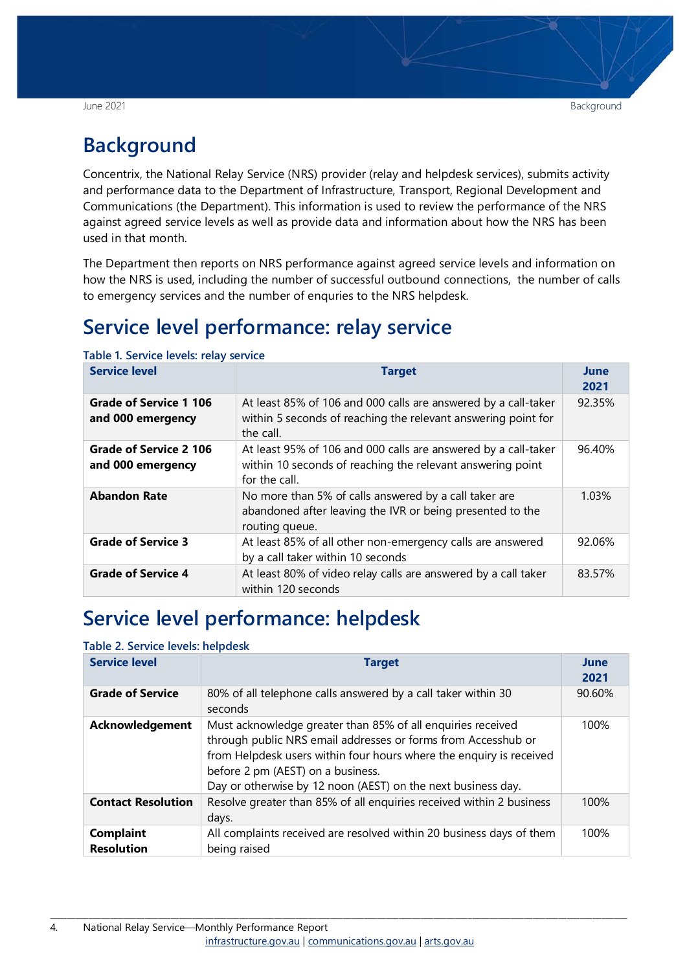## <span id="page-3-0"></span>**Background**

Concentrix, the National Relay Service (NRS) provider (relay and helpdesk services), submits activity and performance data to the Department of Infrastructure, Transport, Regional Development and Communications (the Department). This information is used to review the performance of the NRS against agreed service levels as well as provide data and information about how the NRS has been used in that month.

The Department then reports on NRS performance against agreed service levels and information on how the NRS is used, including the number of successful outbound connections, the number of calls to emergency services and the number of enquries to the NRS helpdesk.

## <span id="page-3-1"></span>**Service level performance: relay service**

| <b>Service level</b>                        | <b>Target</b>                                                                                                                                 | June<br>2021 |
|---------------------------------------------|-----------------------------------------------------------------------------------------------------------------------------------------------|--------------|
| Grade of Service 1 106<br>and 000 emergency | At least 85% of 106 and 000 calls are answered by a call-taker<br>within 5 seconds of reaching the relevant answering point for<br>the call.  | 92.35%       |
| Grade of Service 2 106<br>and 000 emergency | At least 95% of 106 and 000 calls are answered by a call-taker<br>within 10 seconds of reaching the relevant answering point<br>for the call. | 96.40%       |
| <b>Abandon Rate</b>                         | No more than 5% of calls answered by a call taker are<br>abandoned after leaving the IVR or being presented to the<br>routing queue.          | 1.03%        |
| <b>Grade of Service 3</b>                   | At least 85% of all other non-emergency calls are answered<br>by a call taker within 10 seconds                                               | 92.06%       |
| <b>Grade of Service 4</b>                   | At least 80% of video relay calls are answered by a call taker<br>within 120 seconds                                                          | 83.57%       |

<span id="page-3-3"></span>**Table 1. Service levels: relay service**

## <span id="page-3-2"></span>**Service level performance: helpdesk**

### <span id="page-3-4"></span>**Table 2. Service levels: helpdesk**

| <b>Service level</b>                  | <b>Target</b>                                                                                                                                                                                                                                                                                            | <b>June</b><br>2021 |
|---------------------------------------|----------------------------------------------------------------------------------------------------------------------------------------------------------------------------------------------------------------------------------------------------------------------------------------------------------|---------------------|
| <b>Grade of Service</b>               | 80% of all telephone calls answered by a call taker within 30<br>seconds                                                                                                                                                                                                                                 | 90.60%              |
| <b>Acknowledgement</b>                | Must acknowledge greater than 85% of all enquiries received<br>through public NRS email addresses or forms from Accesshub or<br>from Helpdesk users within four hours where the enquiry is received<br>before 2 pm (AEST) on a business.<br>Day or otherwise by 12 noon (AEST) on the next business day. | 100%                |
| <b>Contact Resolution</b>             | Resolve greater than 85% of all enquiries received within 2 business<br>days.                                                                                                                                                                                                                            | 100%                |
| <b>Complaint</b><br><b>Resolution</b> | All complaints received are resolved within 20 business days of them<br>being raised                                                                                                                                                                                                                     | 100%                |

\_\_\_\_\_\_\_\_\_\_\_\_\_\_\_\_\_\_\_\_\_\_\_\_\_\_\_\_\_\_\_\_\_\_\_\_\_\_\_\_\_\_\_\_\_\_\_\_\_\_\_\_\_\_\_\_\_\_\_\_\_\_\_\_\_\_\_\_\_\_\_\_\_\_\_\_\_\_\_\_\_\_\_\_\_\_\_\_\_\_\_\_\_\_\_\_\_\_\_\_\_\_\_\_\_\_\_\_\_\_\_\_\_\_\_\_\_\_\_\_\_\_\_\_\_\_\_\_\_\_\_\_\_\_